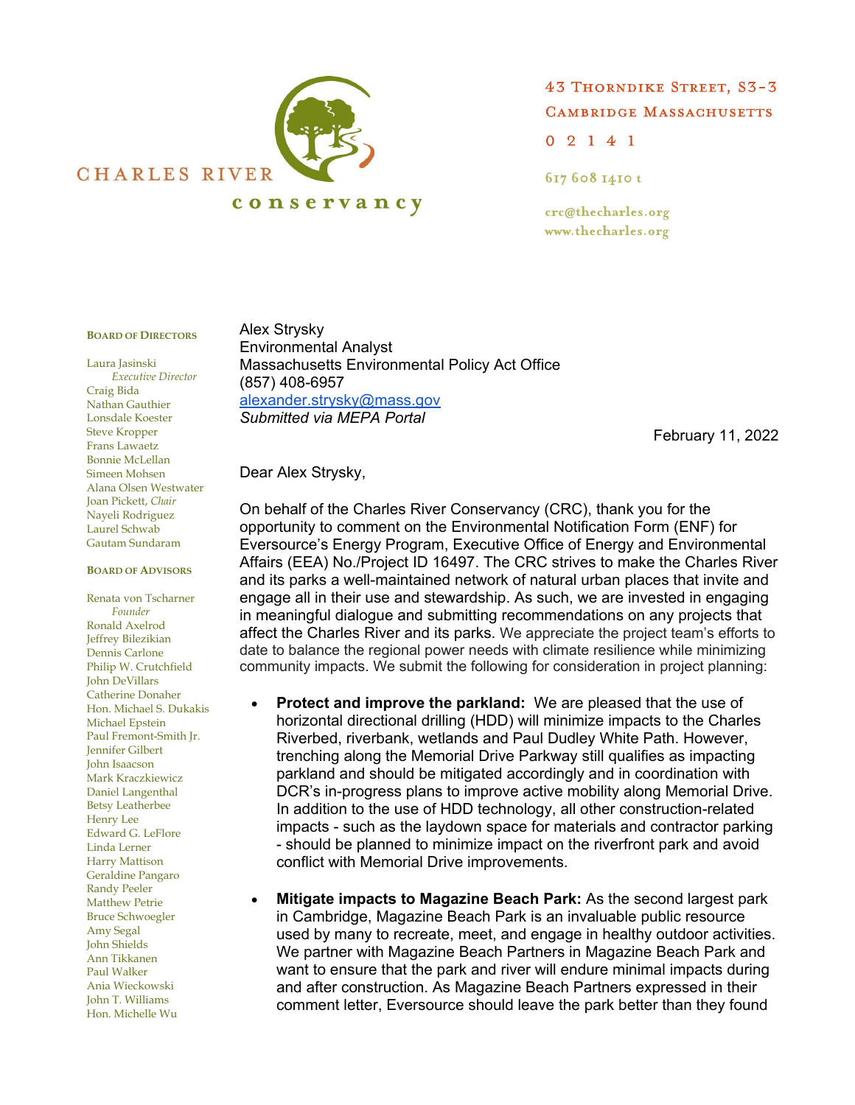

43 THORNDIKE STREET, S3-3 **CAMBRIDGE MASSACHUSETTS**  $02141$ 

617 608 1410 t

crc@thecharles.org www.thecharles.org

## **BOARD OF DIRECTORS**

Laura Jasinski *Executive Director*  Craig Bida Nathan Gauthier Lonsdale Koester Steve Kropper Frans Lawaetz Bonnie McLellan Simeen Mohsen Alana Olsen Westwater Joan Pickett, *Chair* Nayeli Rodriguez Laurel Schwab Gautam Sundaram

## **BOARD OF ADVISORS**

Renata von Tscharner *Founder*  Ronald Axelrod Jeffrey Bilezikian Dennis Carlone Philip W. Crutchfield John DeVillars Catherine Donaher Hon. Michael S. Dukakis Michael Epstein Paul Fremont-Smith Jr. Jennifer Gilbert John Isaacson Mark Kraczkiewicz Daniel Langenthal Betsy Leatherbee Henry Lee Edward G. LeFlore Linda Lerner Harry Mattison Geraldine Pangaro Randy Peeler Matthew Petrie Bruce Schwoegler Amy Segal John Shields Ann Tikkanen Paul Walker Ania Wieckowski John T. Williams Hon. Michelle Wu

Alex Strysky Environmental Analyst Massachusetts Environmental Policy Act Office (857) 408-6957 alexander.strysky@mass.gov *Submitted via MEPA Portal*

February 11, 2022

## Dear Alex Strysky,

On behalf of the Charles River Conservancy (CRC), thank you for the opportunity to comment on the Environmental Notification Form (ENF) for Eversource's Energy Program, Executive Office of Energy and Environmental Affairs (EEA) No./Project ID 16497. The CRC strives to make the Charles River and its parks a well-maintained network of natural urban places that invite and engage all in their use and stewardship. As such, we are invested in engaging in meaningful dialogue and submitting recommendations on any projects that affect the Charles River and its parks. We appreciate the project team's efforts to date to balance the regional power needs with climate resilience while minimizing community impacts. We submit the following for consideration in project planning:

- **Protect and improve the parkland:** We are pleased that the use of horizontal directional drilling (HDD) will minimize impacts to the Charles Riverbed, riverbank, wetlands and Paul Dudley White Path. However, trenching along the Memorial Drive Parkway still qualifies as impacting parkland and should be mitigated accordingly and in coordination with DCR's in-progress plans to improve active mobility along Memorial Drive. In addition to the use of HDD technology, all other construction-related impacts - such as the laydown space for materials and contractor parking - should be planned to minimize impact on the riverfront park and avoid conflict with Memorial Drive improvements.
- **Mitigate impacts to Magazine Beach Park:** As the second largest park in Cambridge, Magazine Beach Park is an invaluable public resource used by many to recreate, meet, and engage in healthy outdoor activities. We partner with Magazine Beach Partners in Magazine Beach Park and want to ensure that the park and river will endure minimal impacts during and after construction. As Magazine Beach Partners expressed in their comment letter, Eversource should leave the park better than they found